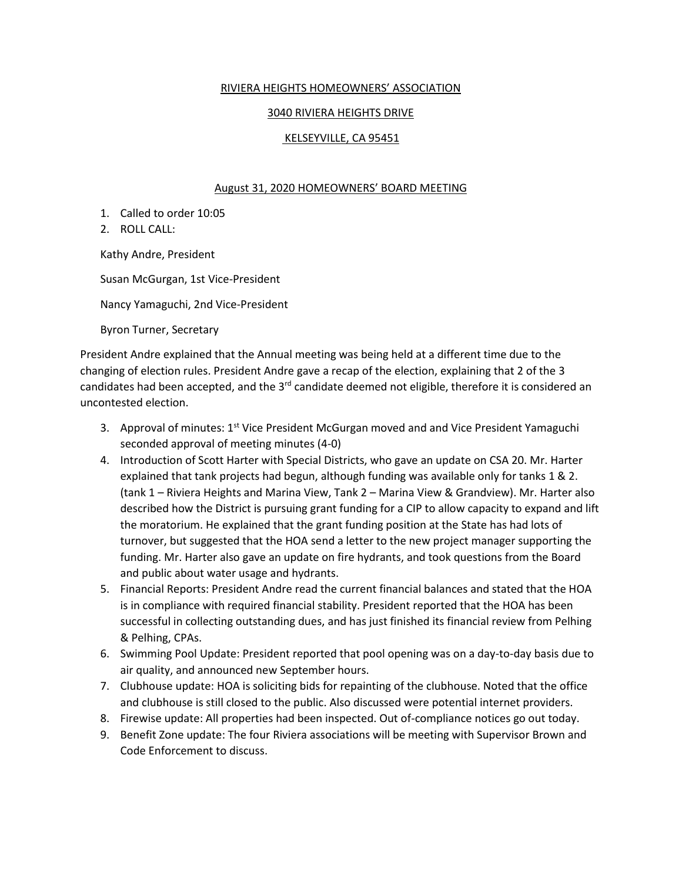## RIVIERA HEIGHTS HOMEOWNERS' ASSOCIATION

## 3040 RIVIERA HEIGHTS DRIVE

## KELSEYVILLE, CA 95451

## August 31, 2020 HOMEOWNERS' BOARD MEETING

1. Called to order 10:05

2. ROLL CALL:

Kathy Andre, President

Susan McGurgan, 1st Vice-President

Nancy Yamaguchi, 2nd Vice-President

Byron Turner, Secretary

President Andre explained that the Annual meeting was being held at a different time due to the changing of election rules. President Andre gave a recap of the election, explaining that 2 of the 3 candidates had been accepted, and the 3<sup>rd</sup> candidate deemed not eligible, therefore it is considered an uncontested election.

- 3. Approval of minutes:  $1<sup>st</sup>$  Vice President McGurgan moved and and Vice President Yamaguchi seconded approval of meeting minutes (4-0)
- 4. Introduction of Scott Harter with Special Districts, who gave an update on CSA 20. Mr. Harter explained that tank projects had begun, although funding was available only for tanks 1 & 2. (tank 1 – Riviera Heights and Marina View, Tank 2 – Marina View & Grandview). Mr. Harter also described how the District is pursuing grant funding for a CIP to allow capacity to expand and lift the moratorium. He explained that the grant funding position at the State has had lots of turnover, but suggested that the HOA send a letter to the new project manager supporting the funding. Mr. Harter also gave an update on fire hydrants, and took questions from the Board and public about water usage and hydrants.
- 5. Financial Reports: President Andre read the current financial balances and stated that the HOA is in compliance with required financial stability. President reported that the HOA has been successful in collecting outstanding dues, and has just finished its financial review from Pelhing & Pelhing, CPAs.
- 6. Swimming Pool Update: President reported that pool opening was on a day-to-day basis due to air quality, and announced new September hours.
- 7. Clubhouse update: HOA is soliciting bids for repainting of the clubhouse. Noted that the office and clubhouse is still closed to the public. Also discussed were potential internet providers.
- 8. Firewise update: All properties had been inspected. Out of-compliance notices go out today.
- 9. Benefit Zone update: The four Riviera associations will be meeting with Supervisor Brown and Code Enforcement to discuss.